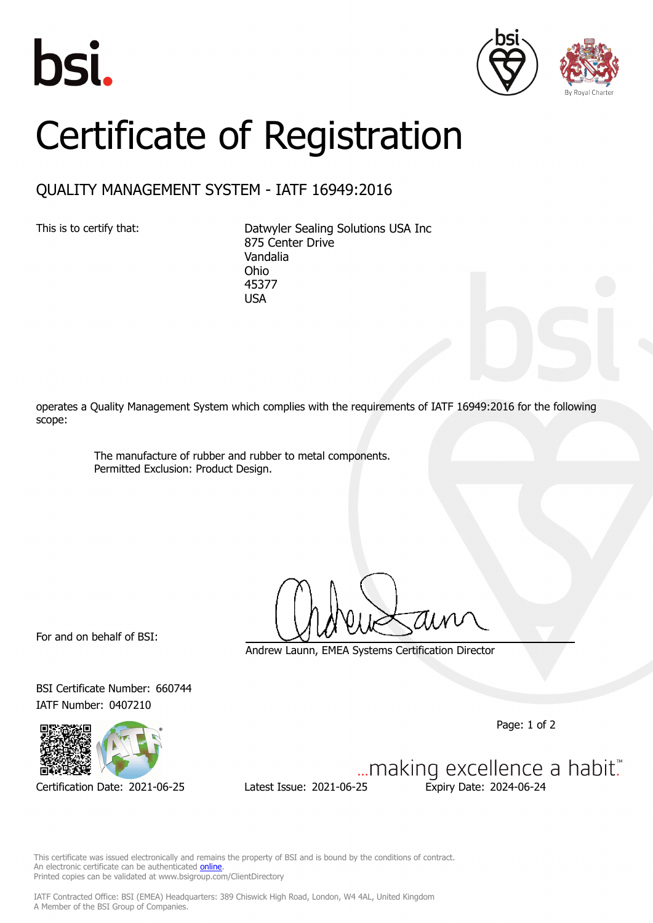





## Certificate of Registration

## QUALITY MANAGEMENT SYSTEM - IATF 16949:2016

This is to certify that: Datwyler Sealing Solutions USA Inc 875 Center Drive Vandalia Ohio 45377 USA

operates a Quality Management System which complies with the requirements of IATF 16949:2016 for the following scope:

> The manufacture of rubber and rubber to metal components. Permitted Exclusion: Product Design.

For and on behalf of BSI:

Andrew Launn, EMEA Systems Certification Director

BSI Certificate Number: 660744 IATF Number: 0407210



Certification Date: 2021-06-25 Latest Issue: 2021-06-25 Expiry Date: 2024-06-24

Page: 1 of 2

... making excellence a habit."

This certificate was issued electronically and remains the property of BSI and is bound by the conditions of contract. An electronic certificate can be authenticated **[online](https://pgplus.bsigroup.com/CertificateValidation/CertificateValidator.aspx?CertificateNumber=TS+660744&ReIssueDate=25%2f06%2f2021&Template=cemea_en)** Printed copies can be validated at www.bsigroup.com/ClientDirectory

IATF Contracted Office: BSI (EMEA) Headquarters: 389 Chiswick High Road, London, W4 4AL, United Kingdom A Member of the BSI Group of Companies.